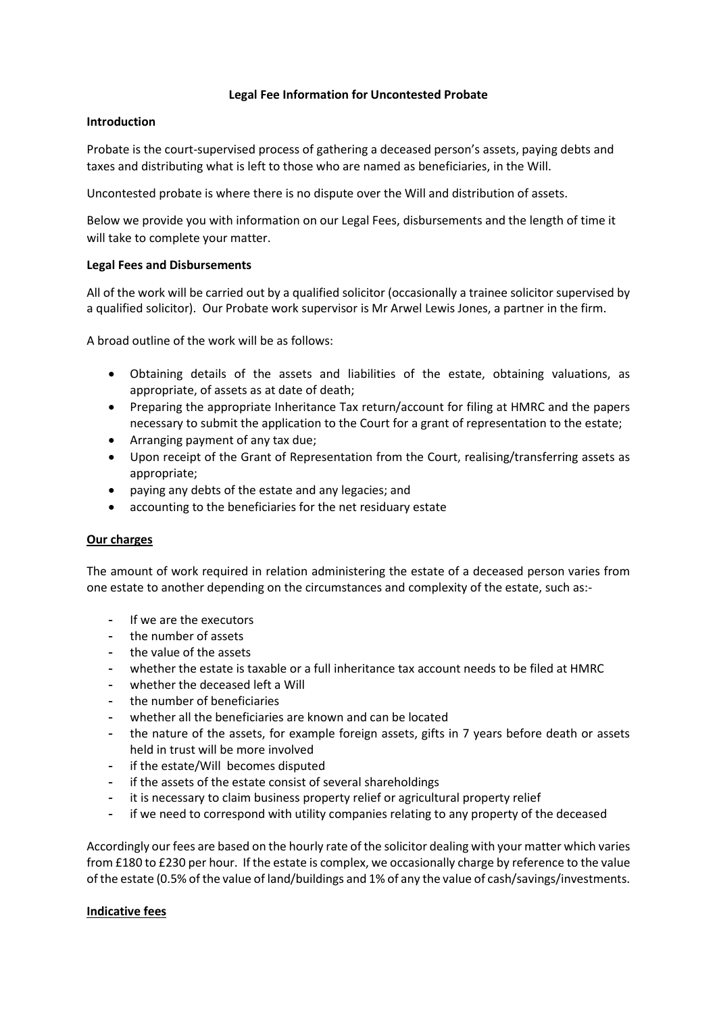## **Legal Fee Information for Uncontested Probate**

### **Introduction**

Probate is the court-supervised process of gathering a deceased person's assets, paying debts and taxes and distributing what is left to those who are named as beneficiaries, in the Will.

Uncontested probate is where there is no dispute over the Will and distribution of assets.

Below we provide you with information on our Legal Fees, disbursements and the length of time it will take to complete your matter.

## **Legal Fees and Disbursements**

All of the work will be carried out by a qualified solicitor (occasionally a trainee solicitor supervised by a qualified solicitor). Our Probate work supervisor is Mr Arwel Lewis Jones, a partner in the firm.

A broad outline of the work will be as follows:

- Obtaining details of the assets and liabilities of the estate, obtaining valuations, as appropriate, of assets as at date of death;
- Preparing the appropriate Inheritance Tax return/account for filing at HMRC and the papers necessary to submit the application to the Court for a grant of representation to the estate;
- Arranging payment of any tax due;
- Upon receipt of the Grant of Representation from the Court, realising/transferring assets as appropriate;
- paying any debts of the estate and any legacies; and
- accounting to the beneficiaries for the net residuary estate

#### **Our charges**

The amount of work required in relation administering the estate of a deceased person varies from one estate to another depending on the circumstances and complexity of the estate, such as:-

- If we are the executors
- the number of assets
- the value of the assets
- whether the estate is taxable or a full inheritance tax account needs to be filed at HMRC
- whether the deceased left a Will
- the number of beneficiaries
- whether all the beneficiaries are known and can be located
- the nature of the assets, for example foreign assets, gifts in 7 years before death or assets held in trust will be more involved
- if the estate/Will becomes disputed
- if the assets of the estate consist of several shareholdings
- it is necessary to claim business property relief or agricultural property relief
- if we need to correspond with utility companies relating to any property of the deceased

Accordingly our fees are based on the hourly rate of the solicitor dealing with your matter which varies from £180 to £230 per hour. If the estate is complex, we occasionally charge by reference to the value of the estate (0.5% of the value of land/buildings and 1% of any the value of cash/savings/investments.

#### **Indicative fees**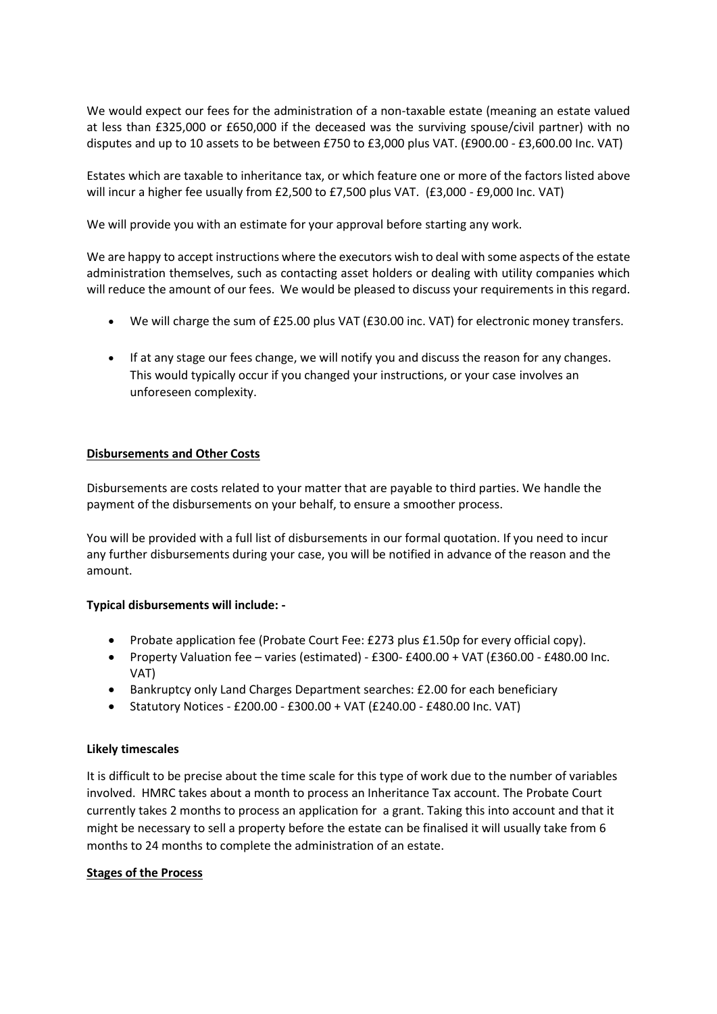We would expect our fees for the administration of a non-taxable estate (meaning an estate valued at less than £325,000 or £650,000 if the deceased was the surviving spouse/civil partner) with no disputes and up to 10 assets to be between £750 to £3,000 plus VAT. (£900.00 - £3,600.00 Inc. VAT)

Estates which are taxable to inheritance tax, or which feature one or more of the factors listed above will incur a higher fee usually from £2,500 to £7,500 plus VAT. (£3,000 - £9,000 Inc. VAT)

We will provide you with an estimate for your approval before starting any work.

We are happy to accept instructions where the executors wish to deal with some aspects of the estate administration themselves, such as contacting asset holders or dealing with utility companies which will reduce the amount of our fees. We would be pleased to discuss your requirements in this regard.

- We will charge the sum of £25.00 plus VAT (£30.00 inc. VAT) for electronic money transfers.
- If at any stage our fees change, we will notify you and discuss the reason for any changes. This would typically occur if you changed your instructions, or your case involves an unforeseen complexity.

## **Disbursements and Other Costs**

Disbursements are costs related to your matter that are payable to third parties. We handle the payment of the disbursements on your behalf, to ensure a smoother process.

You will be provided with a full list of disbursements in our formal quotation. If you need to incur any further disbursements during your case, you will be notified in advance of the reason and the amount.

#### **Typical disbursements will include: -**

- Probate application fee (Probate Court Fee: £273 plus £1.50p for every official copy).
- Property Valuation fee varies (estimated) £300- £400.00 + VAT (£360.00 £480.00 Inc. VAT)
- Bankruptcy only Land Charges Department searches: £2.00 for each beneficiary
- Statutory Notices £200.00 £300.00 + VAT (£240.00 £480.00 Inc. VAT)

#### **Likely timescales**

It is difficult to be precise about the time scale for this type of work due to the number of variables involved. HMRC takes about a month to process an Inheritance Tax account. The Probate Court currently takes 2 months to process an application for a grant. Taking this into account and that it might be necessary to sell a property before the estate can be finalised it will usually take from 6 months to 24 months to complete the administration of an estate.

#### **Stages of the Process**